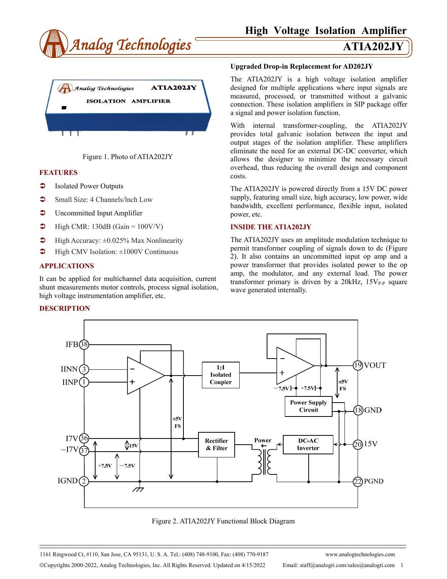





#### **FEATURES**

- Isolated Power Outputs
- Small Size: 4 Channels/Inch Low
- **C** Uncommitted Input Amplifier
- $\blacktriangleright$  High CMR: 130dB (Gain = 100V/V)
- $\blacktriangleright$  High Accuracy:  $\pm 0.025\%$  Max Nonlinearity
- $\blacktriangleright$  High CMV Isolation:  $\pm 1000V$  Continuous

#### **APPLICATIONS**

It can be applied for multichannel data acquisition, current shunt measurements motor controls, process signal isolation, high voltage instrumentation amplifier, etc.

#### **DESCRIPTION**

#### **Upgraded Drop-in Replacement for AD202JY**

The ATIA202JY is a high voltage isolation amplifier designed for multiple applications where input signals are measured, processed, or transmitted without a galvanic connection. These isolation amplifiers in SIP package offer a signal and power isolation function.

With internal transformer-coupling, the ATIA202JY provides total galvanic isolation between the input and output stages of the isolation amplifier. These amplifiers eliminate the need for an external DC-DC converter, which allows the designer to minimize the necessary circuit overhead, thus reducing the overall design and component costs.

The ATIA202JY is powered directly from a 15V DC power supply, featuring small size, high accuracy, low power, wide bandwidth, excellent performance, flexible input, isolated power, etc.

### **INSIDE THE ATIA202JY**

The ATIA202JY uses an amplitude modulation technique to permit transformer coupling of signals down to dc (Figure 2). It also contains an uncommitted input op amp and a power transformer that provides isolated power to the op amp, the modulator, and any external load. The power transformer primary is driven by a  $20kHz$ ,  $15V_{P-P}$  square wave generated internally.



Figure 2. ATIA202JY Functional Block Diagram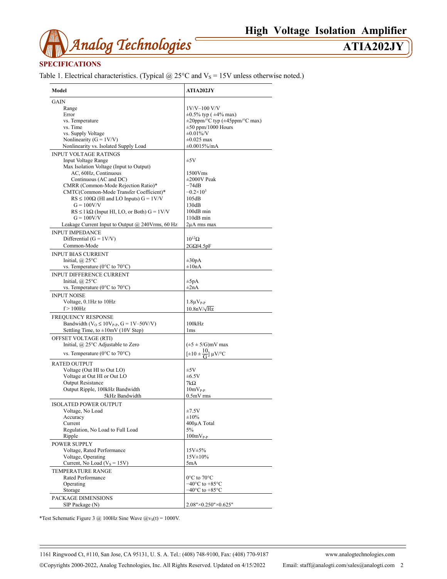

# **SPECIFICATIONS**

Table 1. Electrical characteristics. (Typical  $@$  25°C and  $V_s$  = 15V unless otherwise noted.)

| Model                                                                | <b>ATIA202JY</b>                                               |  |
|----------------------------------------------------------------------|----------------------------------------------------------------|--|
| GAIN                                                                 |                                                                |  |
| Range                                                                | $1V/V-100 V/V$                                                 |  |
| Error                                                                | $\pm 0.5\%$ typ ( $\pm 4\%$ max)                               |  |
| vs. Temperature                                                      |                                                                |  |
|                                                                      | $\pm 20$ ppm/°C typ ( $\pm 45$ ppm/°C max)                     |  |
| vs. Time                                                             | $\pm 50$ ppm/1000 Hours                                        |  |
| vs. Supply Voltage                                                   | $\pm 0.01\%$ /V                                                |  |
| Nonlinearity ( $G = 1 V/V$ )                                         | $\pm 0.025$ max                                                |  |
| Nonlinearity vs. Isolated Supply Load                                | ±0.0015%/mA                                                    |  |
| <b>INPUT VOLTAGE RATINGS</b>                                         |                                                                |  |
| <b>Input Voltage Range</b>                                           | ±5V                                                            |  |
| Max Isolation Voltage (Input to Output)                              |                                                                |  |
| AC, 60Hz, Continuous                                                 | 1500Vms                                                        |  |
| Continuous (AC and DC)                                               | $\pm 2000V$ Peak                                               |  |
| CMRR (Common-Mode Rejection Ratio)*                                  | $-74dB$                                                        |  |
|                                                                      |                                                                |  |
| CMTC(Common-Mode Transfer Coefficient)*                              | $-0.2\times10^{3}$                                             |  |
| $RS \le 100\Omega$ (HI and LO Inputs) $G = 1 \text{V/V}$             | 105dB                                                          |  |
| $G = 100V/V$                                                         | 130dB                                                          |  |
| $RS \leq 1 k\Omega$ (Input HI, LO, or Both) $G = 1 V/V$              | 100dB min                                                      |  |
| $G = 100V/V$                                                         | 110dB min                                                      |  |
| Leakage Current Input to Output $@$ 240Vrms, 60 Hz                   | 2μA rms max                                                    |  |
| <b>INPUT IMPEDANCE</b>                                               |                                                                |  |
|                                                                      |                                                                |  |
| Differential $(G = 1V/V)$                                            | $10^{12}$ $\Omega$                                             |  |
| Common-Mode                                                          | $2G\Omega$ <sup>14</sup> .5pF                                  |  |
| <b>INPUT BIAS CURRENT</b>                                            |                                                                |  |
| Initial, $\omega$ 25°C                                               | $\pm 30pA$                                                     |  |
| vs. Temperature ( $0^{\circ}$ C to $70^{\circ}$ C)                   | $\pm 10nA$                                                     |  |
|                                                                      |                                                                |  |
| <b>INPUT DIFFERENCE CURRENT</b>                                      |                                                                |  |
| Initial, $\omega$ 25°C                                               | $\pm 5pA$                                                      |  |
| vs. Temperature ( $0^{\circ}$ C to $70^{\circ}$ C)                   | $\pm 2nA$                                                      |  |
| <b>INPUT NOISE</b>                                                   |                                                                |  |
| Voltage, 0.1Hz to 10Hz                                               | $1.8\mu V_{P-P}$                                               |  |
|                                                                      |                                                                |  |
| $f > 100$ Hz                                                         | $10.8nV/\sqrt{Hz}$                                             |  |
| FREQUENCY RESPONSE                                                   |                                                                |  |
| Bandwidth ( $V$ <sub>O</sub> ≤ 10 $V$ <sub>P-P</sub> , G = 1V–50V/V) | 100kHz                                                         |  |
| Settling Time, to $\pm 10$ mV (10V Step)                             | 1 <sub>ms</sub>                                                |  |
|                                                                      |                                                                |  |
| OFFSET VOLTAGE (RTI)                                                 |                                                                |  |
| Initial, @ 25°C Adjustable to Zero                                   | $(\pm 5 \pm 5/\text{G})$ mV max                                |  |
| vs. Temperature ( $0^{\circ}$ C to $70^{\circ}$ C)                   | $[\pm 10 \pm \frac{10}{\text{G}}] \mu\text{V}^{\circ}\text{C}$ |  |
|                                                                      |                                                                |  |
| <b>RATED OUTPUT</b>                                                  |                                                                |  |
| Voltage (Out HI to Out LO)                                           | ±5V                                                            |  |
| Voltage at Out HI or Out LO                                          | $\pm 6.5V$                                                     |  |
| <b>Output Resistance</b>                                             | $7k\Omega$                                                     |  |
| Output Ripple, 100kHz Bandwidth                                      | $10mV_{P-P}$                                                   |  |
|                                                                      |                                                                |  |
| 5kHz Bandwidth                                                       | $0.5mV$ rms                                                    |  |
| <b>ISOLATED POWER OUTPUT</b>                                         |                                                                |  |
| Voltage, No Load                                                     | ±7.5V                                                          |  |
| Accuracy                                                             | ±10%                                                           |  |
| Current                                                              | 400µA Total                                                    |  |
| Regulation, No Load to Full Load                                     | 5%                                                             |  |
|                                                                      |                                                                |  |
| Ripple                                                               | $100mV_{P-P}$                                                  |  |
| <b>POWER SUPPLY</b>                                                  |                                                                |  |
| Voltage, Rated Performance                                           | 15V±5%                                                         |  |
| Voltage, Operating                                                   | $15V \pm 10\%$                                                 |  |
| Current, No Load ( $V_s = 15V$ )                                     | 5mA                                                            |  |
|                                                                      |                                                                |  |
| TEMPERATURE RANGE                                                    |                                                                |  |
| Rated Performance                                                    | 0°C to 70°C                                                    |  |
| Operating                                                            | $-40^{\circ}$ C to $+85^{\circ}$ C                             |  |
| Storage                                                              | $-40^{\circ}$ C to $+85^{\circ}$ C                             |  |
| PACKAGE DIMENSIONS                                                   |                                                                |  |
| SIP Package (N)                                                      | 2.08"×0.250"×0.625"                                            |  |
|                                                                      |                                                                |  |

\*Test Schematic Figure 3 @ 100Hz Sine Wave  $\omega_{\text{vs}}(t) = 1000 \text{V}$ .

1161 Ringwood Ct, #110, San Jose, CA 95131, U. S. A. Tel.: (408) 748-9100, Fax: (408) 770-9187 www.analogtechnologies.com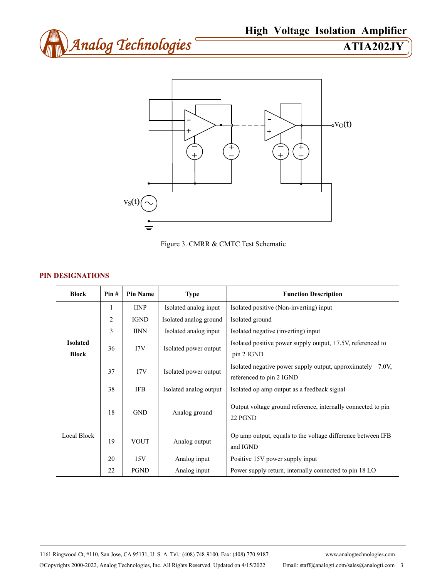



Figure 3. CMRR & CMTC Test Schematic

# **PIN DESIGNATIONS**

| <b>Block</b>                    | Pin#           | <b>Pin Name</b> | <b>Type</b>            | <b>Function Description</b>                                                                |
|---------------------------------|----------------|-----------------|------------------------|--------------------------------------------------------------------------------------------|
| <b>Isolated</b><br><b>Block</b> | 1              | <b>IINP</b>     | Isolated analog input  | Isolated positive (Non-inverting) input                                                    |
|                                 | $\overline{c}$ | <b>IGND</b>     | Isolated analog ground | Isolated ground                                                                            |
|                                 | 3              | <b>IINN</b>     | Isolated analog input  | Isolated negative (inverting) input                                                        |
|                                 | 36             | 17V             | Isolated power output  | Isolated positive power supply output, $+7.5V$ , referenced to<br>pin 2 IGND               |
|                                 | 37             | $-I7V$          | Isolated power output  | Isolated negative power supply output, approximately $-7.0V$ ,<br>referenced to pin 2 IGND |
|                                 | 38             | <b>IFB</b>      | Isolated analog output | Isolated op amp output as a feedback signal                                                |
| Local Block                     | 18             | <b>GND</b>      | Analog ground          | Output voltage ground reference, internally connected to pin<br>22 PGND                    |
|                                 | 19             | <b>VOUT</b>     | Analog output          | Op amp output, equals to the voltage difference between IFB<br>and IGND                    |
|                                 | 20             | 15V             | Analog input           | Positive 15V power supply input                                                            |
|                                 | 22             | <b>PGND</b>     | Analog input           | Power supply return, internally connected to pin 18 LO                                     |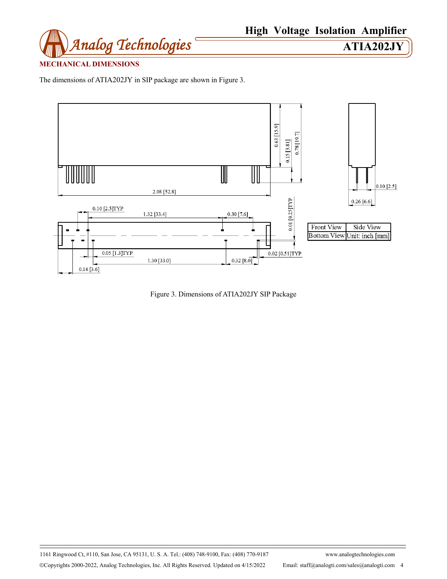

# **MECHANICAL DIMENSIONS**

The dimensions of ATIA202JY in SIP package are shown in Figure 3.



Figure 3. Dimensions of ATIA202JY SIP Package